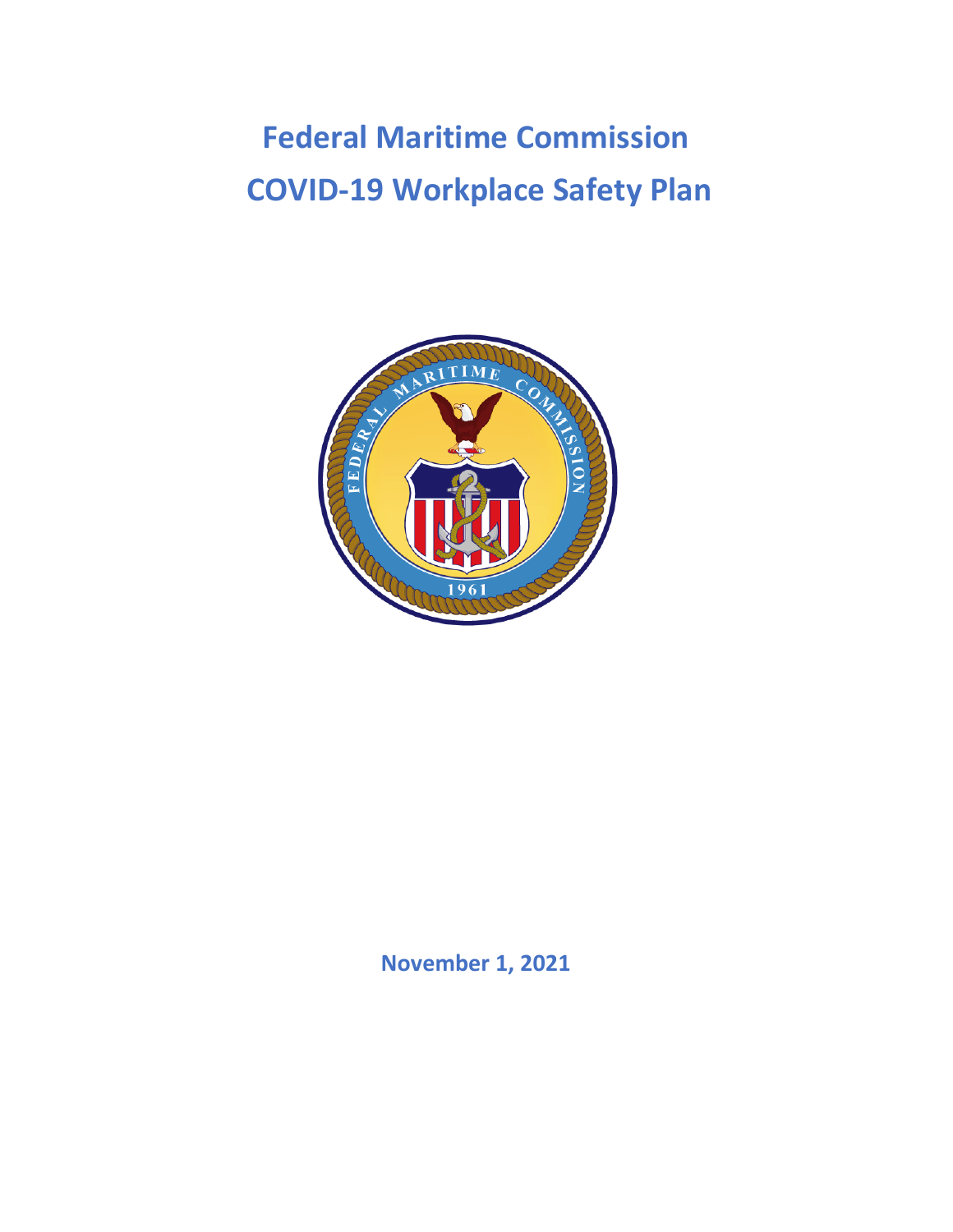# **Federal Maritime Commission COVID-19 Workplace Safety Plan**



**November 1, 2021**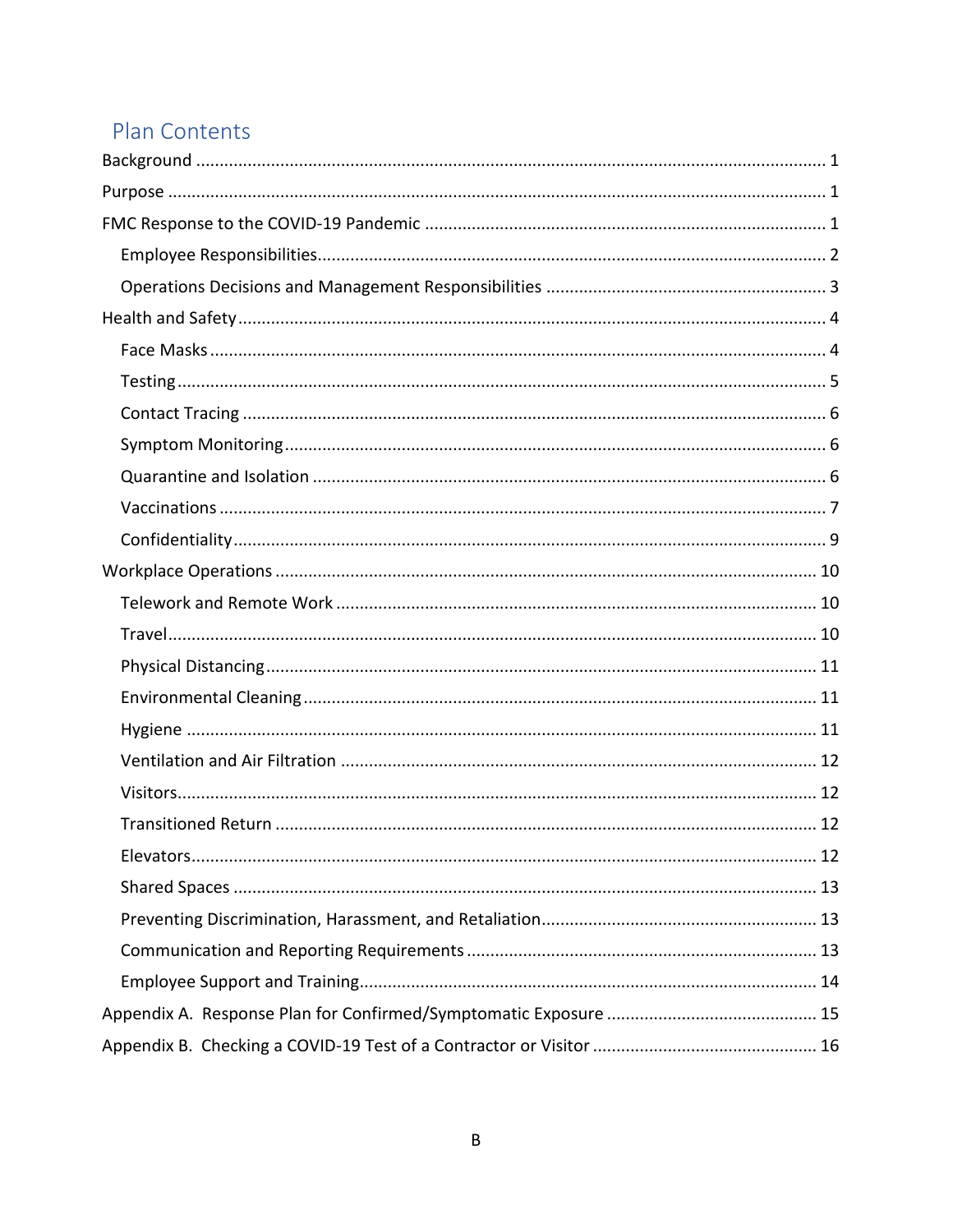# Plan Contents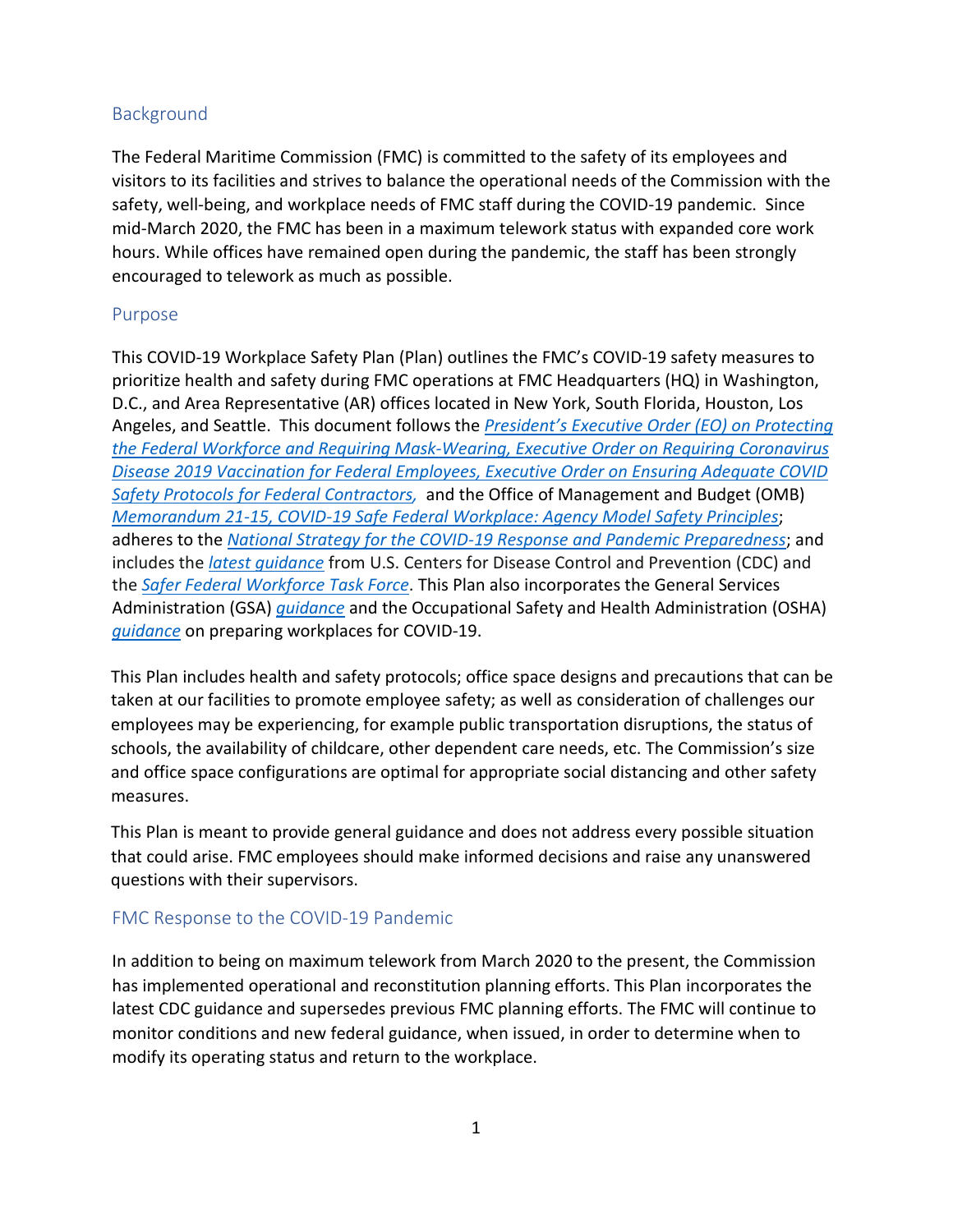## <span id="page-2-0"></span>**Background**

The Federal Maritime Commission (FMC) is committed to the safety of its employees and visitors to its facilities and strives to balance the operational needs of the Commission with the safety, well-being, and workplace needs of FMC staff during the COVID-19 pandemic. Since mid-March 2020, the FMC has been in a maximum telework status with expanded core work hours. While offices have remained open during the pandemic, the staff has been strongly encouraged to telework as much as possible.

#### <span id="page-2-1"></span>Purpose

This COVID-19 Workplace Safety Plan (Plan) outlines the FMC's COVID-19 safety measures to prioritize health and safety during FMC operations at FMC Headquarters (HQ) in Washington, D.C., and Area Representative (AR) offices located in New York, South Florida, Houston, Los Angeles, and Seattle. This document follows the *[President's Executive Order \(EO\) on Protecting](https://www.whitehouse.gov/briefing-room/presidential-actions/2021/01/20/executive-order-protecting-the-federal-workforce-and-requiring-mask-wearing/)  [the Federal Workforce and Requiring Mask-Wearing,](https://www.whitehouse.gov/briefing-room/presidential-actions/2021/01/20/executive-order-protecting-the-federal-workforce-and-requiring-mask-wearing/) [Executive Order on Requiring Coronavirus](https://www.whitehouse.gov/briefing-room/presidential-actions/2021/09/09/executive-order-on-requiring-coronavirus-disease-2019-vaccination-for-federal-employees/)  [Disease 2019 Vaccination for Federal Employees,](https://www.whitehouse.gov/briefing-room/presidential-actions/2021/09/09/executive-order-on-requiring-coronavirus-disease-2019-vaccination-for-federal-employees/) [Executive Order on Ensuring Adequate COVID](https://www.whitehouse.gov/briefing-room/presidential-actions/2021/09/09/executive-order-on-ensuring-adequate-covid-safety-protocols-for-federal-contractors/)  Safety Protocols for [Federal Contractors,](https://www.whitehouse.gov/briefing-room/presidential-actions/2021/09/09/executive-order-on-ensuring-adequate-covid-safety-protocols-for-federal-contractors/)* and the Office of Management and Budget (OMB) *[Memorandum 21-15, COVID-19 Safe Federal Workplace: Agency Model Safety Principles](https://www.whitehouse.gov/wp-content/uploads/2021/01/M-21-15.pdf)*; adheres to the *[National Strategy for the COVID-19 Response and Pandemic Preparedness](https://www.whitehouse.gov/wp-content/uploads/2021/01/National-Strategy-for-the-COVID-19-Response-and-Pandemic-Preparedness.pdf)*; and includes the *[latest guidance](https://www.cdc.gov/coronavirus/2019-ncov/community/guidance-business-response.html)* from U.S. Centers for Disease Control and Prevention (CDC) and the *[Safer Federal Workforce Task Force](https://www.saferfederalworkforce.gov/)*. This Plan also incorporates the General Services Administration (GSA) *[guidance](https://fmcgov.sharepoint.com/sites/OMD/Shared%20Documents/COOP%20Plan/COVID-19/COVID-19%20Reconstitution-Return%20to%20the%20Workplace%20Plans/GSA)* and the Occupational Safety and Health Administration (OSHA) *[guidance](https://www.osha.gov/Publications/OSHA3990.pdf)* on preparing workplaces for COVID-19.

This Plan includes health and safety protocols; office space designs and precautions that can be taken at our facilities to promote employee safety; as well as consideration of challenges our employees may be experiencing, for example public transportation disruptions, the status of schools, the availability of childcare, other dependent care needs, etc. The Commission's size and office space configurations are optimal for appropriate social distancing and other safety measures.

This Plan is meant to provide general guidance and does not address every possible situation that could arise. FMC employees should make informed decisions and raise any unanswered questions with their supervisors.

#### <span id="page-2-2"></span>FMC Response to the COVID-19 Pandemic

In addition to being on maximum telework from March 2020 to the present, the Commission has implemented operational and reconstitution planning efforts. This Plan incorporates the latest CDC guidance and supersedes previous FMC planning efforts. The FMC will continue to monitor conditions and new federal guidance, when issued, in order to determine when to modify its operating status and return to the workplace.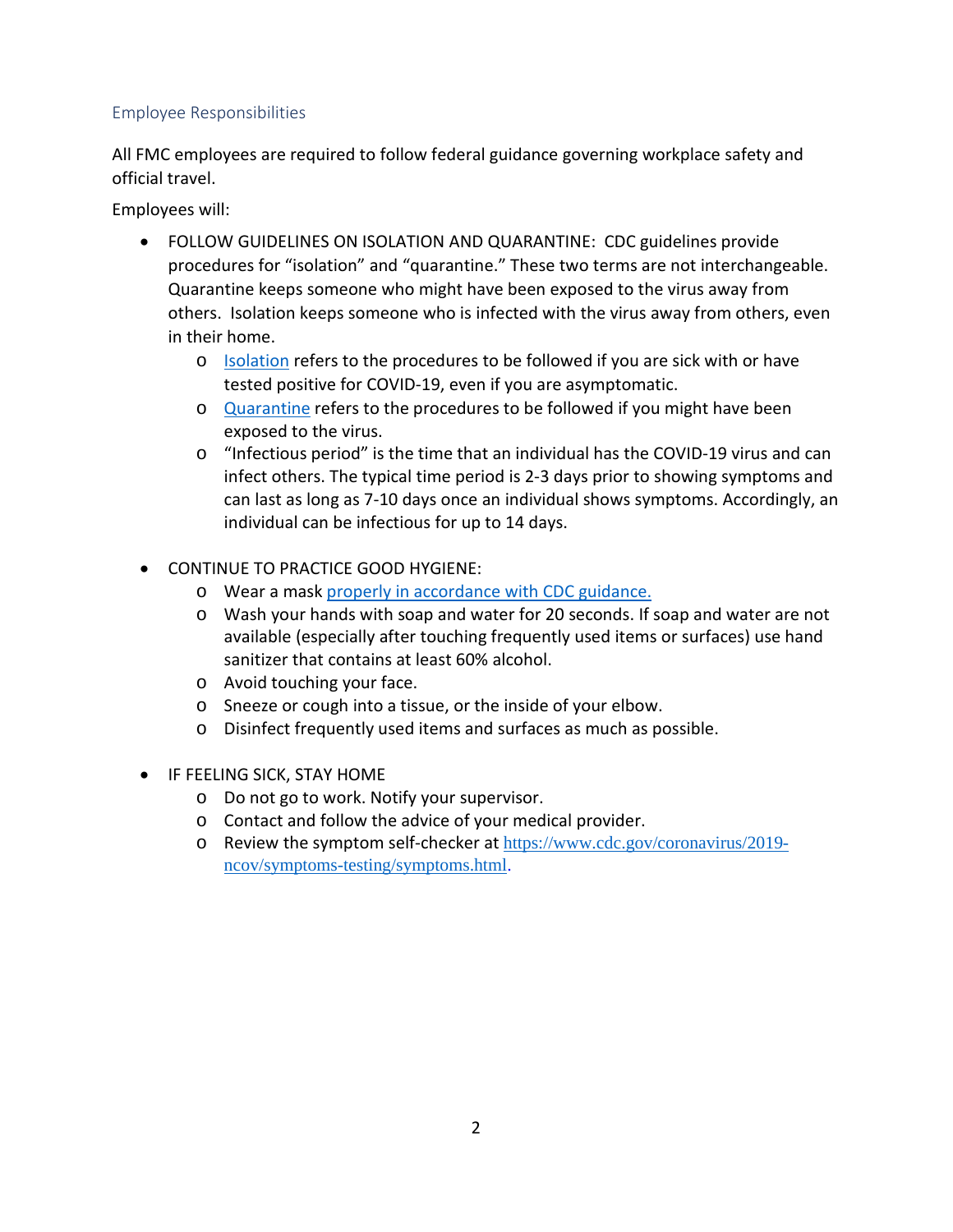#### <span id="page-3-0"></span>Employee Responsibilities

All FMC employees are required to follow federal guidance governing workplace safety and official travel.

Employees will:

- FOLLOW GUIDELINES ON ISOLATION AND QUARANTINE: CDC guidelines provide procedures for "isolation" and "quarantine." These two terms are not interchangeable. Quarantine keeps someone who might have been exposed to the virus away from others. Isolation keeps someone who is infected with the virus away from others, even in their home.
	- o [Isolation](https://www.cdc.gov/coronavirus/2019-ncov/if-you-are-sick/isolation.html) refers to the procedures to be followed if you are sick with or have tested positive for COVID-19, even if you are asymptomatic.
	- o [Quarantine](https://www.cdc.gov/coronavirus/2019-ncov/if-you-are-sick/quarantine.html) refers to the procedures to be followed if you might have been exposed to the virus.
	- o "Infectious period" is the time that an individual has the COVID-19 virus and can infect others. The typical time period is 2-3 days prior to showing symptoms and can last as long as 7-10 days once an individual shows symptoms. Accordingly, an individual can be infectious for up to 14 days.
- CONTINUE TO PRACTICE GOOD HYGIENE:
	- o Wear a mask properly [in accordance with CDC guidance.](https://www.cdc.gov/coronavirus/2019-ncov/prevent-getting-sick/cloth-face-cover-guidance.html)
	- o Wash your hands with soap and water for 20 seconds. If soap and water are not available (especially after touching frequently used items or surfaces) use hand sanitizer that contains at least 60% alcohol.
	- o Avoid touching your face.
	- o Sneeze or cough into a tissue, or the inside of your elbow.
	- o Disinfect frequently used items and surfaces as much as possible.
- IF FEELING SICK, STAY HOME
	- o Do not go to work. Notify your supervisor.
	- o Contact and follow the advice of your medical provider.
	- o Review the symptom self-checker at [https://www.cdc.gov/coronavirus/2019](https://www.cdc.gov/coronavirus/2019-ncov/symptoms-testing/symptoms.html) [ncov/symptoms-testing/symptoms.html.](https://www.cdc.gov/coronavirus/2019-ncov/symptoms-testing/symptoms.html)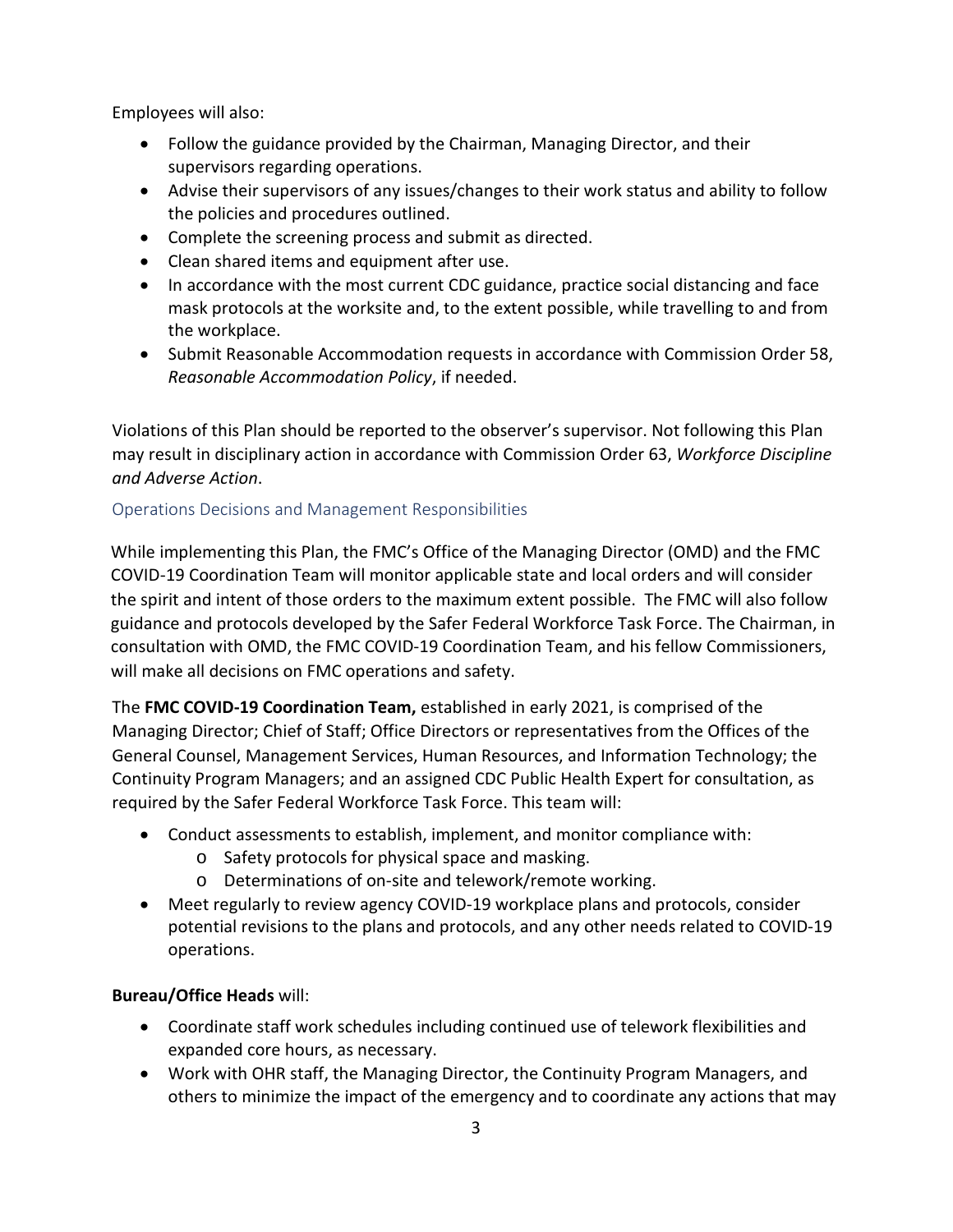Employees will also:

- Follow the guidance provided by the Chairman, Managing Director, and their supervisors regarding operations.
- Advise their supervisors of any issues/changes to their work status and ability to follow the policies and procedures outlined.
- Complete the screening process and submit as directed.
- Clean shared items and equipment after use.
- In accordance with the most current CDC guidance, practice social distancing and face mask protocols at the worksite and, to the extent possible, while travelling to and from the workplace.
- Submit Reasonable Accommodation requests in accordance with Commission Order 58, *Reasonable Accommodation Policy*, if needed.

Violations of this Plan should be reported to the observer's supervisor. Not following this Plan may result in disciplinary action in accordance with Commission Order 63, *Workforce Discipline and Adverse Action*.

#### <span id="page-4-0"></span>Operations Decisions and Management Responsibilities

While implementing this Plan, the FMC's Office of the Managing Director (OMD) and the FMC COVID-19 Coordination Team will monitor applicable state and local orders and will consider the spirit and intent of those orders to the maximum extent possible. The FMC will also follow guidance and protocols developed by the Safer Federal Workforce Task Force. The Chairman, in consultation with OMD, the FMC COVID-19 Coordination Team, and his fellow Commissioners, will make all decisions on FMC operations and safety.

The **FMC COVID-19 Coordination Team,** established in early 2021, is comprised of the Managing Director; Chief of Staff; Office Directors or representatives from the Offices of the General Counsel, Management Services, Human Resources, and Information Technology; the Continuity Program Managers; and an assigned CDC Public Health Expert for consultation, as required by the Safer Federal Workforce Task Force. This team will:

- Conduct assessments to establish, implement, and monitor compliance with:
	- o Safety protocols for physical space and masking.
	- o Determinations of on-site and telework/remote working.
- Meet regularly to review agency COVID-19 workplace plans and protocols, consider potential revisions to the plans and protocols, and any other needs related to COVID-19 operations.

#### **Bureau/Office Heads** will:

- Coordinate staff work schedules including continued use of telework flexibilities and expanded core hours, as necessary.
- Work with OHR staff, the Managing Director, the Continuity Program Managers, and others to minimize the impact of the emergency and to coordinate any actions that may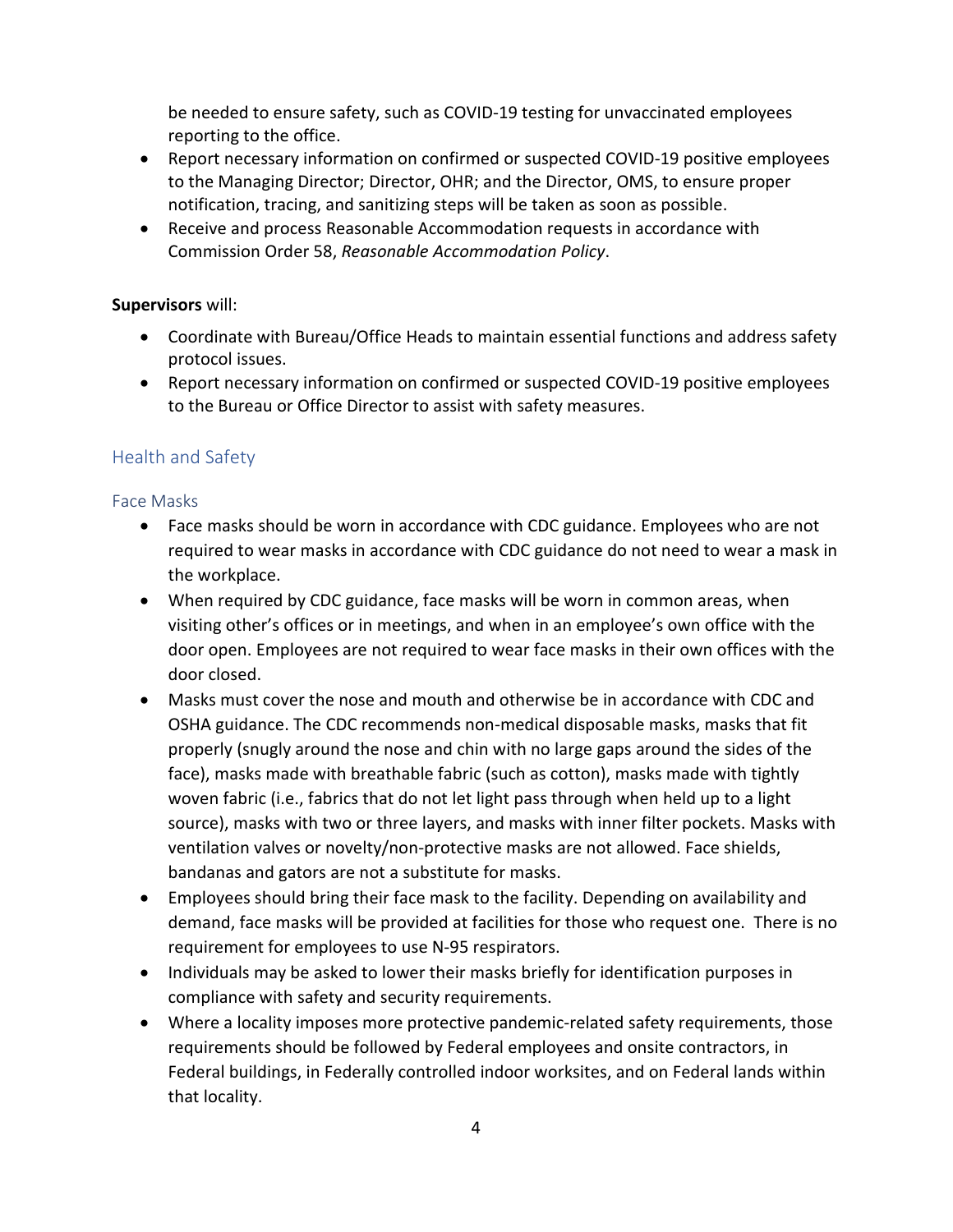be needed to ensure safety, such as COVID-19 testing for unvaccinated employees reporting to the office.

- Report necessary information on confirmed or suspected COVID-19 positive employees to the Managing Director; Director, OHR; and the Director, OMS, to ensure proper notification, tracing, and sanitizing steps will be taken as soon as possible.
- Receive and process Reasonable Accommodation requests in accordance with Commission Order 58, *Reasonable Accommodation Policy*.

#### **Supervisors** will:

- Coordinate with Bureau/Office Heads to maintain essential functions and address safety protocol issues.
- Report necessary information on confirmed or suspected COVID-19 positive employees to the Bureau or Office Director to assist with safety measures.

## <span id="page-5-0"></span>Health and Safety

#### <span id="page-5-1"></span>Face Masks

- Face masks should be worn in accordance with CDC guidance. Employees who are not required to wear masks in accordance with CDC guidance do not need to wear a mask in the workplace.
- When required by CDC guidance, face masks will be worn in common areas, when visiting other's offices or in meetings, and when in an employee's own office with the door open. Employees are not required to wear face masks in their own offices with the door closed.
- Masks must cover the nose and mouth and otherwise be in accordance with CDC and OSHA [guidance.](https://www.cdc.gov/coronavirus/2019-ncov/prevent-getting-sick/cloth-face-cover-guidance.html) The CDC recommends non-medical disposable masks, masks that fit properly (snugly around the nose and chin with no large gaps around the sides of the face), masks made with breathable fabric (such as cotton), masks made with tightly woven fabric (i.e., fabrics that do not let light pass through when held up to a light source), masks with two or three layers, and masks with inner filter pockets. Masks with ventilation valves or novelty/non-protective masks are not allowed. Face shields, bandanas and gators are not a substitute for masks.
- Employees should bring their face mask to the facility. Depending on availability and demand, face masks will be provided at facilities for those who request one. There is no requirement for employees to use N-95 respirators.
- Individuals may be asked to lower their masks briefly for identification purposes in compliance with safety and security requirements.
- Where a locality imposes more protective pandemic-related safety requirements, those requirements should be followed by Federal employees and onsite contractors, in Federal buildings, in Federally controlled indoor worksites, and on Federal lands within that locality.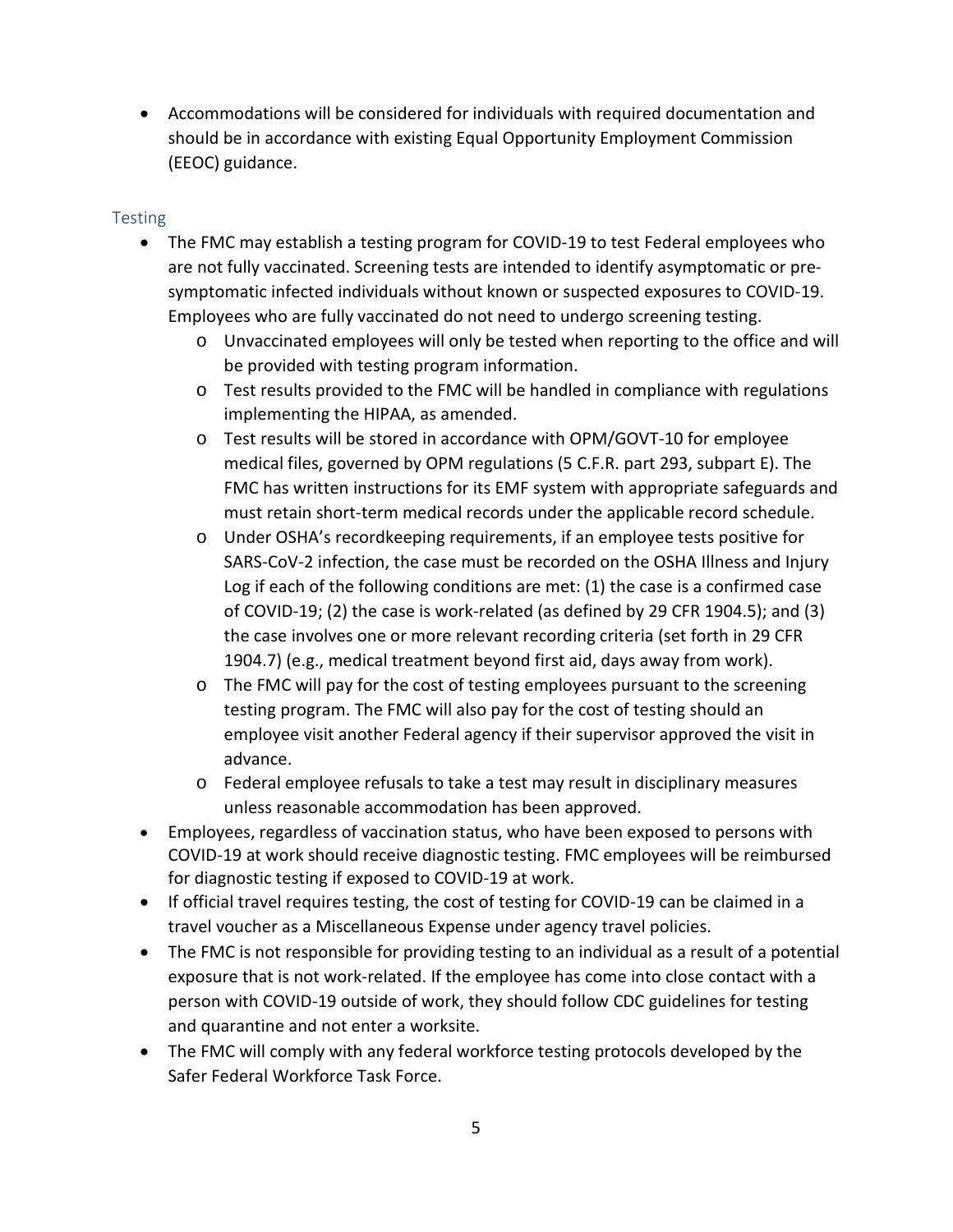• Accommodations will be considered for individuals with required documentation and should be in accordance with existing Equal Opportunity Employment Commission (EEOC) guidance.

#### <span id="page-6-0"></span>Testing

- The FMC may establish a testing program for COVID-19 to test Federal employees who are not fully vaccinated. Screening tests are intended to identify asymptomatic or presymptomatic infected individuals without known or suspected exposures to COVID-19. Employees who are fully vaccinated do not need to undergo screening testing.
	- o Unvaccinated employees will only be tested when reporting to the office and will be provided with testing program information.
	- $\circ$  Test results provided to the FMC will be handled in compliance with regulations implementing the HIPAA, as amended.
	- o Test results will be stored in accordance with OPM/GOVT-10 for employee medical files, governed by OPM regulations (5 C.F.R. part 293, subpart E). The FMC has written instructions for its EMF system with appropriate safeguards and must retain short-term medical records under the applicable record schedule.
	- o Under OSHA's recordkeeping requirements, if an employee tests positive for SARS-CoV-2 infection, the case must be recorded on the OSHA Illness and Injury Log if each of the following conditions are met: (1) the case is a confirmed case of COVID-19; (2) the case is work-related (as defined by 29 CFR 1904.5); and (3) the case involves one or more relevant recording criteria (set forth in 29 CFR 1904.7) (e.g., medical treatment beyond first aid, days away from work).
	- o The FMC will pay for the cost of testing employees pursuant to the screening testing program. The FMC will also pay for the cost of testing should an employee visit another Federal agency if their supervisor approved the visit in advance.
	- o Federal employee refusals to take a test may result in disciplinary measures unless reasonable accommodation has been approved.
- Employees, regardless of vaccination status, who have been exposed to persons with COVID-19 at work should receive diagnostic testing. FMC employees will be reimbursed for diagnostic testing if exposed to COVID-19 at work.
- If official travel requires testing, the cost of testing for COVID-19 can be claimed in a travel voucher as a Miscellaneous Expense under agency travel policies.
- The FMC is not responsible for providing testing to an individual as a result of a potential exposure that is not work-related. If the employee has come into close contact with a person with COVID-19 outside of work, they should follow CDC guidelines for testing and quarantine and not enter a worksite.
- The FMC will comply with any federal workforce testing protocols developed by the Safer Federal Workforce Task Force.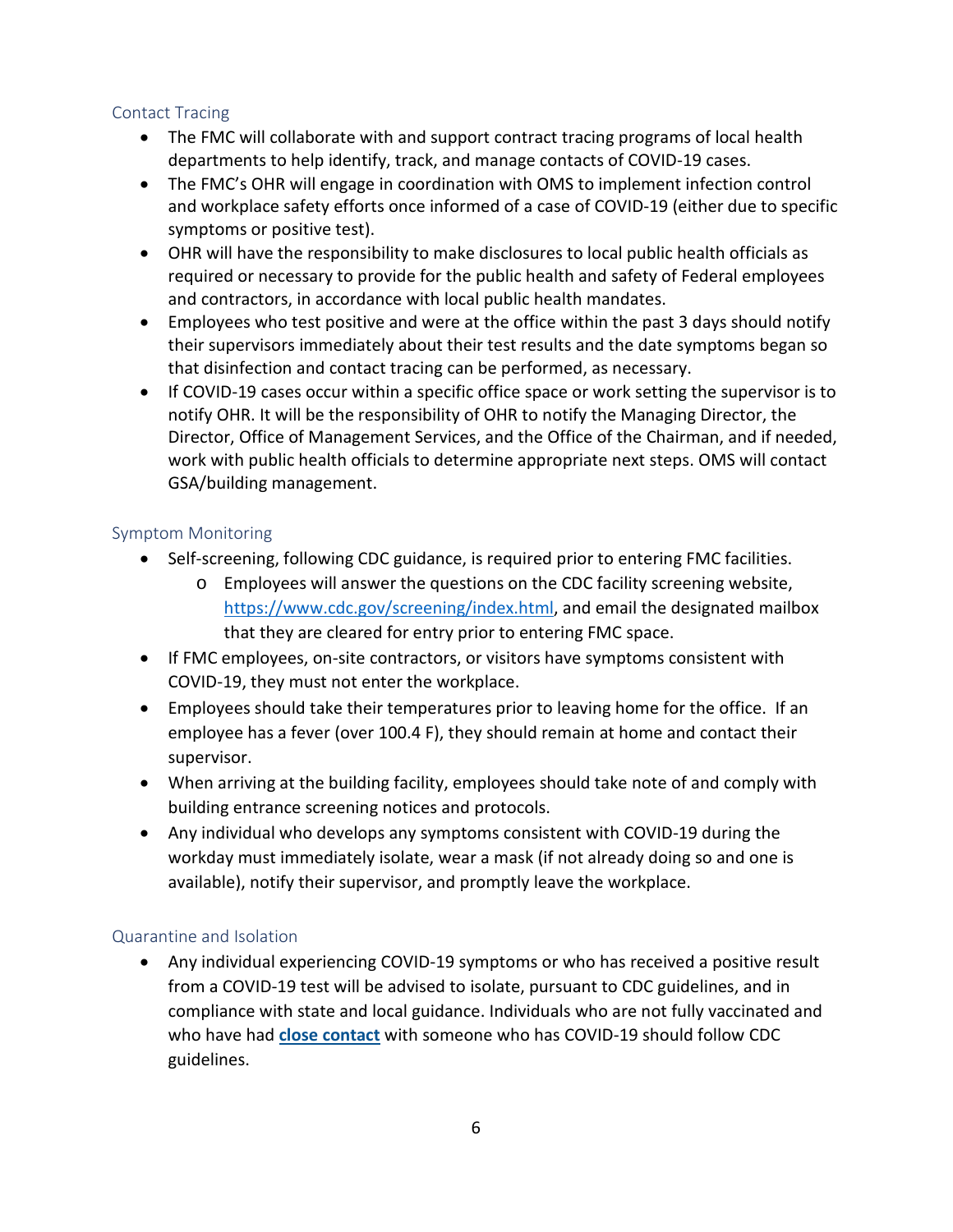#### <span id="page-7-0"></span>Contact Tracing

- The FMC will collaborate with and support contract tracing programs of local health departments to help identify, track, and manage contacts of COVID-19 cases.
- The FMC's OHR will engage in coordination with OMS to implement infection control and workplace safety efforts once informed of a case of COVID-19 (either due to specific symptoms or positive test).
- OHR will have the responsibility to make disclosures to local public health officials as required or necessary to provide for the public health and safety of Federal employees and contractors, in accordance with local public health mandates.
- Employees who test positive and were at the office within the past 3 days should notify their supervisors immediately about their test results and the date symptoms began so that disinfection and contact tracing can be performed, as necessary.
- If COVID-19 cases occur within a specific office space or work setting the supervisor is to notify OHR. It will be the responsibility of OHR to notify the Managing Director, the Director, Office of Management Services, and the Office of the Chairman, and if needed, work with public health officials to determine appropriate next steps. OMS will contact GSA/building management.

## <span id="page-7-1"></span>Symptom Monitoring

- Self-screening, following CDC guidance, is required prior to entering FMC facilities.
	- o Employees will answer the questions on the CDC facility screening website, [https://www.cdc.gov/screening/index.html,](https://www.cdc.gov/screening/index.html) and email the designated mailbox that they are cleared for entry prior to entering FMC space.
- If FMC employees, on-site contractors, or visitors have symptoms consistent with COVID-19, they must not enter the workplace.
- Employees should take their temperatures prior to leaving home for the office. If an employee has a fever (over 100.4 F), they should remain at home and contact their supervisor.
- When arriving at the building facility, employees should take note of and comply with building entrance screening notices and protocols.
- Any individual who develops any symptoms consistent with COVID-19 during the workday must immediately isolate, wear a mask (if not already doing so and one is available), notify their supervisor, and promptly leave the workplace.

#### <span id="page-7-2"></span>Quarantine and Isolation

• Any individual experiencing COVID-19 symptoms or who has received a positive result from a COVID-19 test will be advised to isolate, pursuant to CDC guidelines, and in compliance with state and local guidance. Individuals who are not fully vaccinated and who have had **[close contact](https://www.cdc.gov/coronavirus/2019-ncov/php/contact-tracing/contact-tracing-plan/appendix.html#contact)** with someone who has COVID-19 should follow CDC guidelines.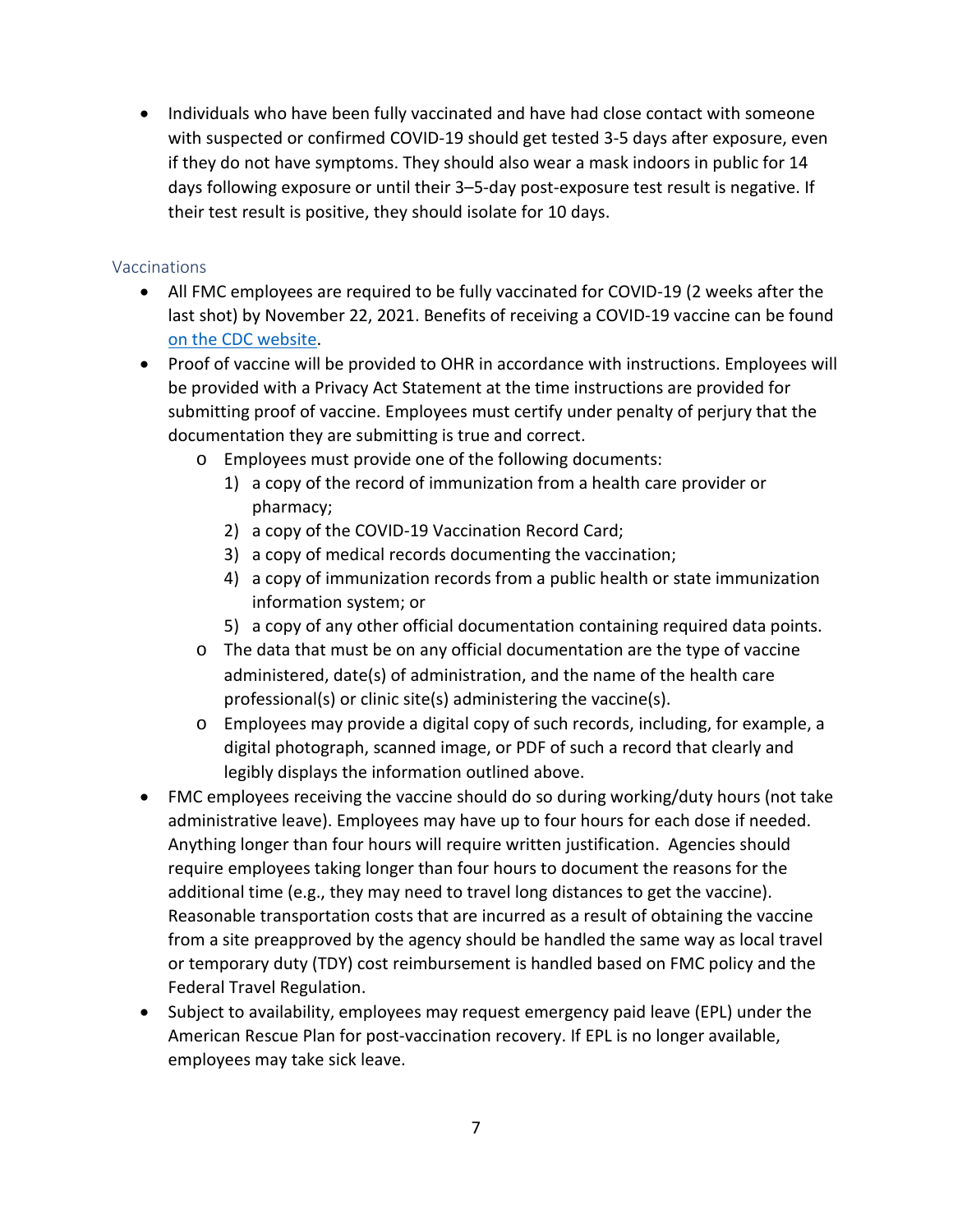• Individuals who have been fully vaccinated and have had close contact with someone with suspected or confirmed COVID-19 should get tested 3-5 days after exposure, even if they do not have symptoms. They should also wear a mask indoors in public for 14 days following exposure or until their 3–5-day post-exposure test result is negative. If their test result is positive, they should isolate for 10 days.

#### <span id="page-8-0"></span>Vaccinations

- All FMC employees are required to be fully vaccinated for COVID-19 (2 weeks after the last shot) by November 22, 2021. Benefits of receiving a COVID-19 vaccine can be found [on the CDC website.](https://www.cdc.gov/coronavirus/2019-ncov/vaccines/vaccine-benefits.html?s_cid=11565:benefits%20of%20covid%2019%20vaccine:sem.ga:p:RG:GM:gen:PTN.Grants:FY21)
- Proof of vaccine will be provided to OHR in accordance with instructions. Employees will be provided with a Privacy Act Statement at the time instructions are provided for submitting proof of vaccine. Employees must certify under penalty of perjury that the documentation they are submitting is true and correct.
	- o Employees must provide one of the following documents:
		- 1) a copy of the record of immunization from a health care provider or pharmacy;
		- 2) a copy of the COVID-19 Vaccination Record Card;
		- 3) a copy of medical records documenting the vaccination;
		- 4) a copy of immunization records from a public health or state immunization information system; or
		- 5) a copy of any other official documentation containing required data points.
	- o The data that must be on any official documentation are the type of vaccine administered, date(s) of administration, and the name of the health care professional(s) or clinic site(s) administering the vaccine(s).
	- o Employees may provide a digital copy of such records, including, for example, a digital photograph, scanned image, or PDF of such a record that clearly and legibly displays the information outlined above.
- FMC employees receiving the vaccine should do so during working/duty hours (not take administrative leave). Employees may have up to four hours for each dose if needed. Anything longer than four hours will require written justification. Agencies should require employees taking longer than four hours to document the reasons for the additional time (e.g., they may need to travel long distances to get the vaccine). Reasonable transportation costs that are incurred as a result of obtaining the vaccine from a site preapproved by the agency should be handled the same way as local travel or temporary duty (TDY) cost reimbursement is handled based on FMC policy and the Federal Travel Regulation.
- Subject to availability, employees may request emergency paid leave (EPL) under the American Rescue Plan for post-vaccination recovery. If EPL is no longer available, employees may take sick leave.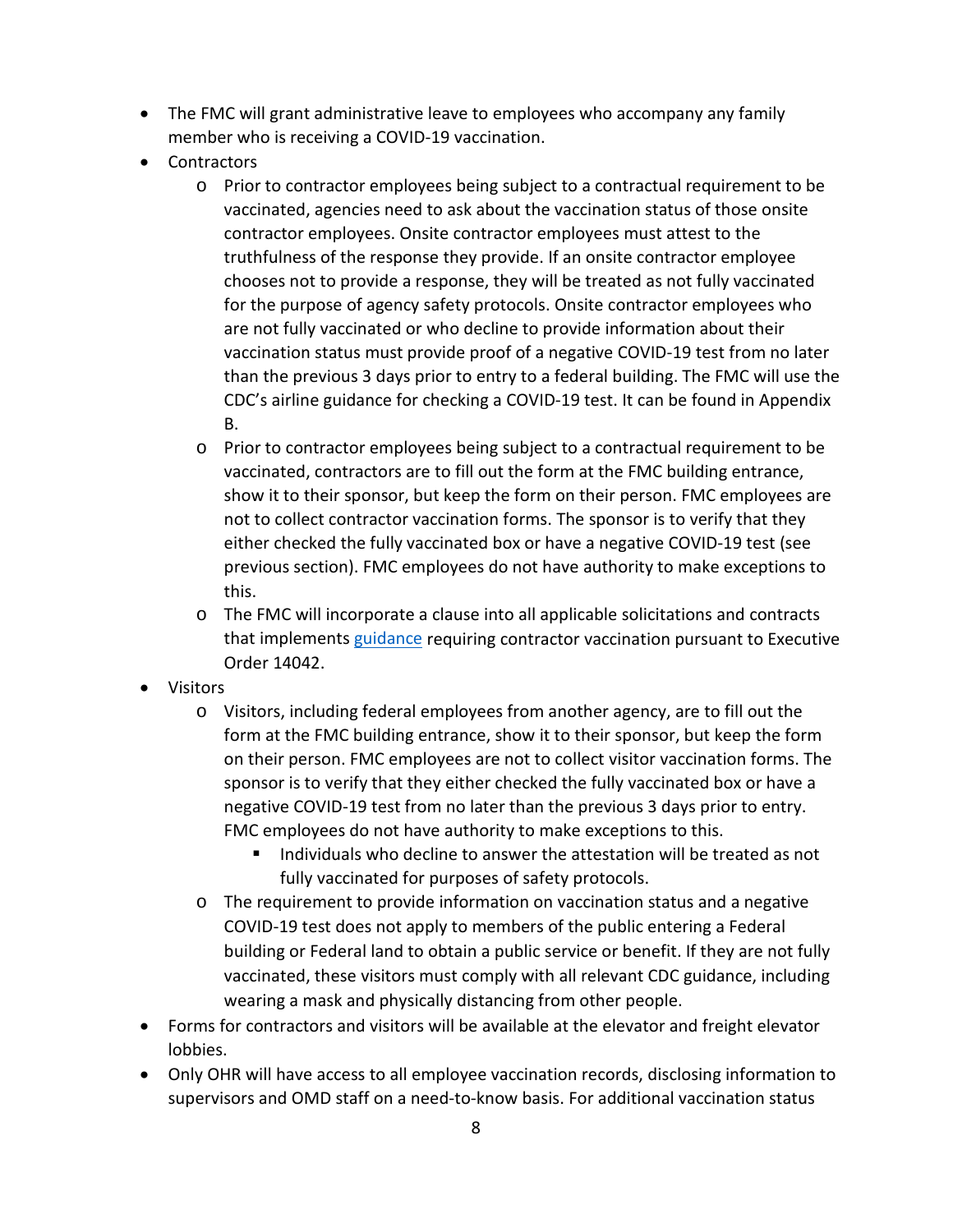- The FMC will grant administrative leave to employees who accompany any family member who is receiving a COVID-19 vaccination.
- Contractors
	- o Prior to contractor employees being subject to a contractual requirement to be vaccinated, agencies need to ask about the vaccination status of those onsite contractor employees. Onsite contractor employees must attest to the truthfulness of the response they provide. If an onsite contractor employee chooses not to provide a response, they will be treated as not fully vaccinated for the purpose of agency safety protocols. Onsite contractor employees who are not fully vaccinated or who decline to provide information about their vaccination status must provide proof of a negative COVID-19 test from no later than the previous 3 days prior to entry to a federal building. The FMC will use the CDC's airline guidance for checking a COVID-19 test. It can be found in Appendix B.
	- o Prior to contractor employees being subject to a contractual requirement to be vaccinated, contractors are to fill out the form at the FMC building entrance, show it to their sponsor, but keep the form on their person. FMC employees are not to collect contractor vaccination forms. The sponsor is to verify that they either checked the fully vaccinated box or have a negative COVID-19 test (see previous section). FMC employees do not have authority to make exceptions to this.
	- o The FMC will incorporate a clause into all applicable solicitations and contracts that implements [guidance](https://www.saferfederalworkforce.gov/contractors/) requiring contractor vaccination pursuant to Executive Order 14042.
- Visitors
	- o Visitors, including federal employees from another agency, are to fill out the form at the FMC building entrance, show it to their sponsor, but keep the form on their person. FMC employees are not to collect visitor vaccination forms. The sponsor is to verify that they either checked the fully vaccinated box or have a negative COVID-19 test from no later than the previous 3 days prior to entry. FMC employees do not have authority to make exceptions to this.
		- Individuals who decline to answer the attestation will be treated as not fully vaccinated for purposes of safety protocols.
	- o The requirement to provide information on vaccination status and a negative COVID-19 test does not apply to members of the public entering a Federal building or Federal land to obtain a public service or benefit. If they are not fully vaccinated, these visitors must comply with all relevant CDC guidance, including wearing a mask and physically distancing from other people.
- Forms for contractors and visitors will be available at the elevator and freight elevator lobbies.
- Only OHR will have access to all employee vaccination records, disclosing information to supervisors and OMD staff on a need-to-know basis. For additional vaccination status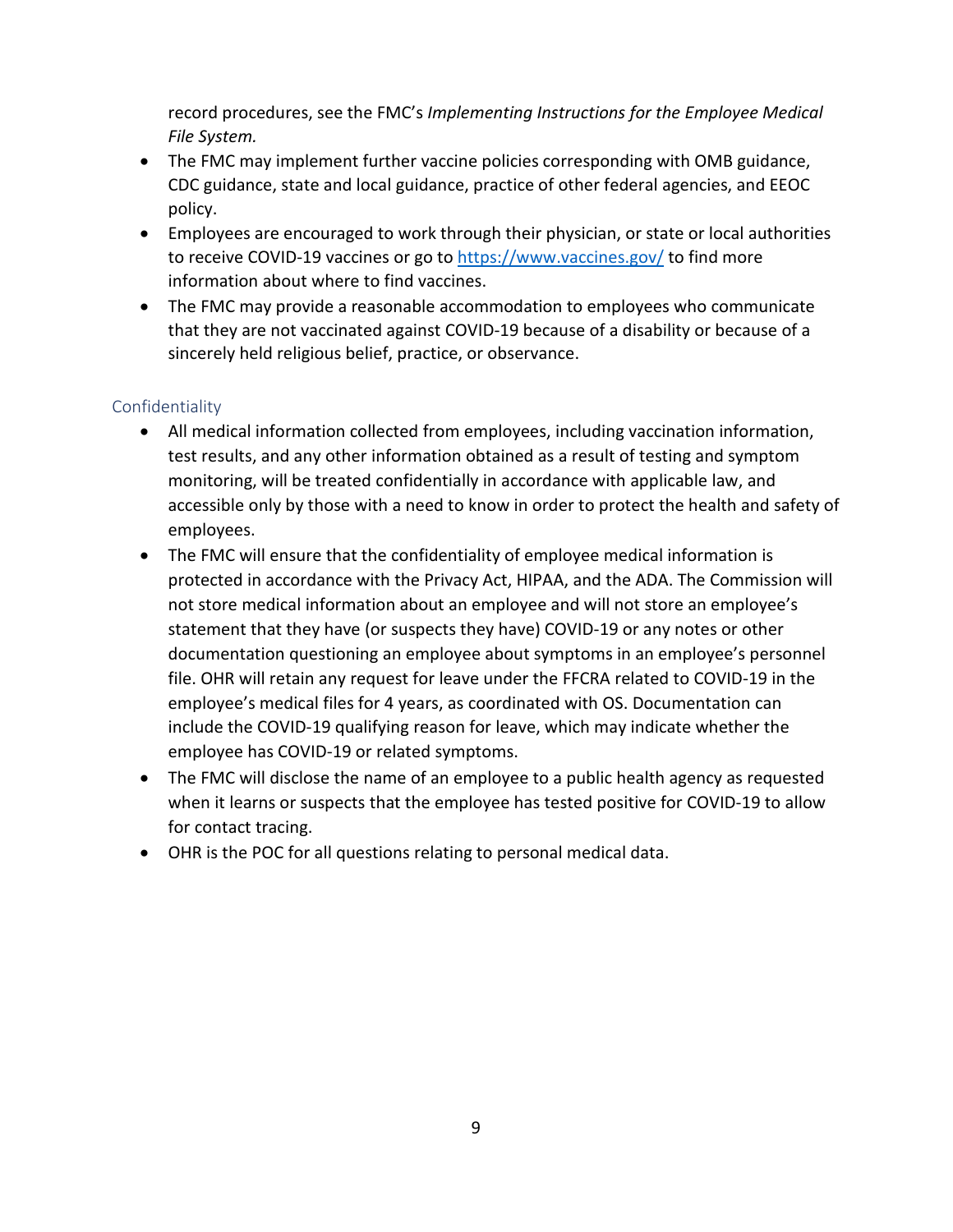record procedures, see the FMC's *Implementing Instructions for the Employee Medical File System.* 

- The FMC may implement further vaccine policies corresponding with OMB guidance, CDC guidance, state and local guidance, practice of other federal agencies, and EEOC policy.
- Employees are encouraged to work through their physician, or state or local authorities to receive COVID-19 vaccines or go to<https://www.vaccines.gov/> to find more information about where to find vaccines.
- The FMC may provide a reasonable accommodation to employees who communicate that they are not vaccinated against COVID-19 because of a disability or because of a sincerely held religious belief, practice, or observance.

## <span id="page-10-0"></span>Confidentiality

- All medical information collected from employees, including vaccination information, test results, and any other information obtained as a result of testing and symptom monitoring, will be treated confidentially in accordance with applicable law, and accessible only by those with a need to know in order to protect the health and safety of employees.
- The FMC will ensure that the confidentiality of employee medical information is protected in accordance with the Privacy Act, HIPAA, and the ADA. The Commission will not store medical information about an employee and will not store an employee's statement that they have (or suspects they have) COVID-19 or any notes or other documentation questioning an employee about symptoms in an employee's personnel file. OHR will retain any request for leave under the FFCRA related to COVID-19 in the employee's medical files for 4 years, as coordinated with OS. Documentation can include the COVID-19 qualifying reason for leave, which may indicate whether the employee has COVID-19 or related symptoms.
- The FMC will disclose the name of an employee to a public health agency as requested when it learns or suspects that the employee has tested positive for COVID-19 to allow for contact tracing.
- OHR is the POC for all questions relating to personal medical data.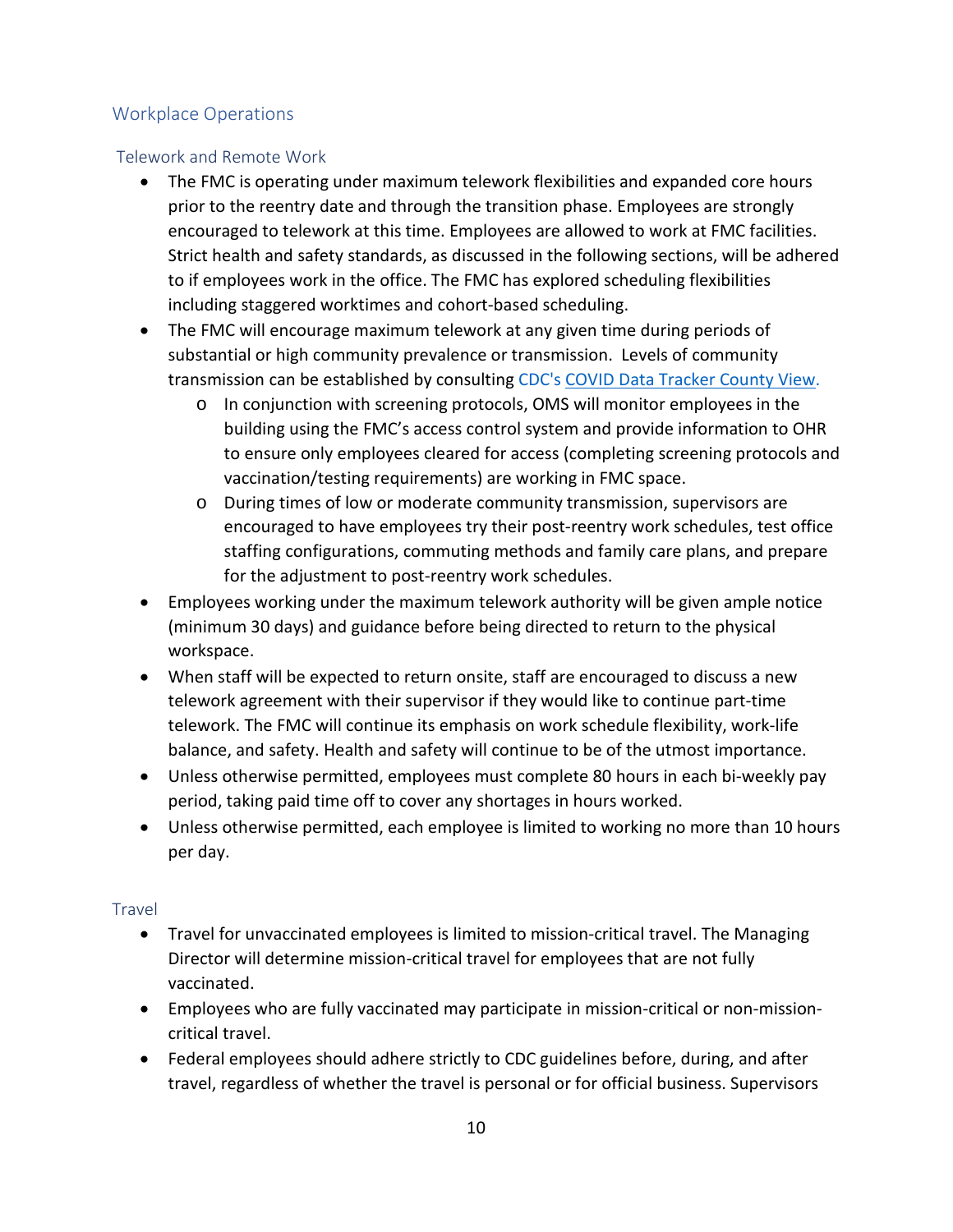## <span id="page-11-0"></span>Workplace Operations

#### <span id="page-11-1"></span>Telework and Remote Work

- The FMC is operating under maximum telework flexibilities and expanded core hours prior to the reentry date and through the transition phase. Employees are strongly encouraged to telework at this time. Employees are allowed to work at FMC facilities. Strict health and safety standards, as discussed in the following sections, will be adhered to if employees work in the office. The FMC has explored scheduling flexibilities including staggered worktimes and cohort-based scheduling.
- The FMC will encourage maximum telework at any given time during periods of substantial or high community prevalence or transmission. Levels of community transmission can be established by consulting CDC's [COVID Data Tracker County View.](https://covid.cdc.gov/covid-data-tracker/#county-view)
	- o In conjunction with screening protocols, OMS will monitor employees in the building using the FMC's access control system and provide information to OHR to ensure only employees cleared for access (completing screening protocols and vaccination/testing requirements) are working in FMC space.
	- o During times of low or moderate community transmission, supervisors are encouraged to have employees try their post-reentry work schedules, test office staffing configurations, commuting methods and family care plans, and prepare for the adjustment to post-reentry work schedules.
- Employees working under the maximum telework authority will be given ample notice (minimum 30 days) and guidance before being directed to return to the physical workspace.
- When staff will be expected to return onsite, staff are encouraged to discuss a new telework agreement with their supervisor if they would like to continue part-time telework. The FMC will continue its emphasis on work schedule flexibility, work-life balance, and safety. Health and safety will continue to be of the utmost importance.
- Unless otherwise permitted, employees must complete 80 hours in each bi-weekly pay period, taking paid time off to cover any shortages in hours worked.
- Unless otherwise permitted, each employee is limited to working no more than 10 hours per day.

#### <span id="page-11-2"></span>Travel

- Travel for unvaccinated employees is limited to mission-critical travel. The Managing Director will determine mission-critical travel for employees that are not fully vaccinated.
- Employees who are fully vaccinated may participate in mission-critical or non-missioncritical travel.
- Federal employees should adhere strictly to CDC guidelines before, during, and after travel, regardless of whether the travel is personal or for official business. Supervisors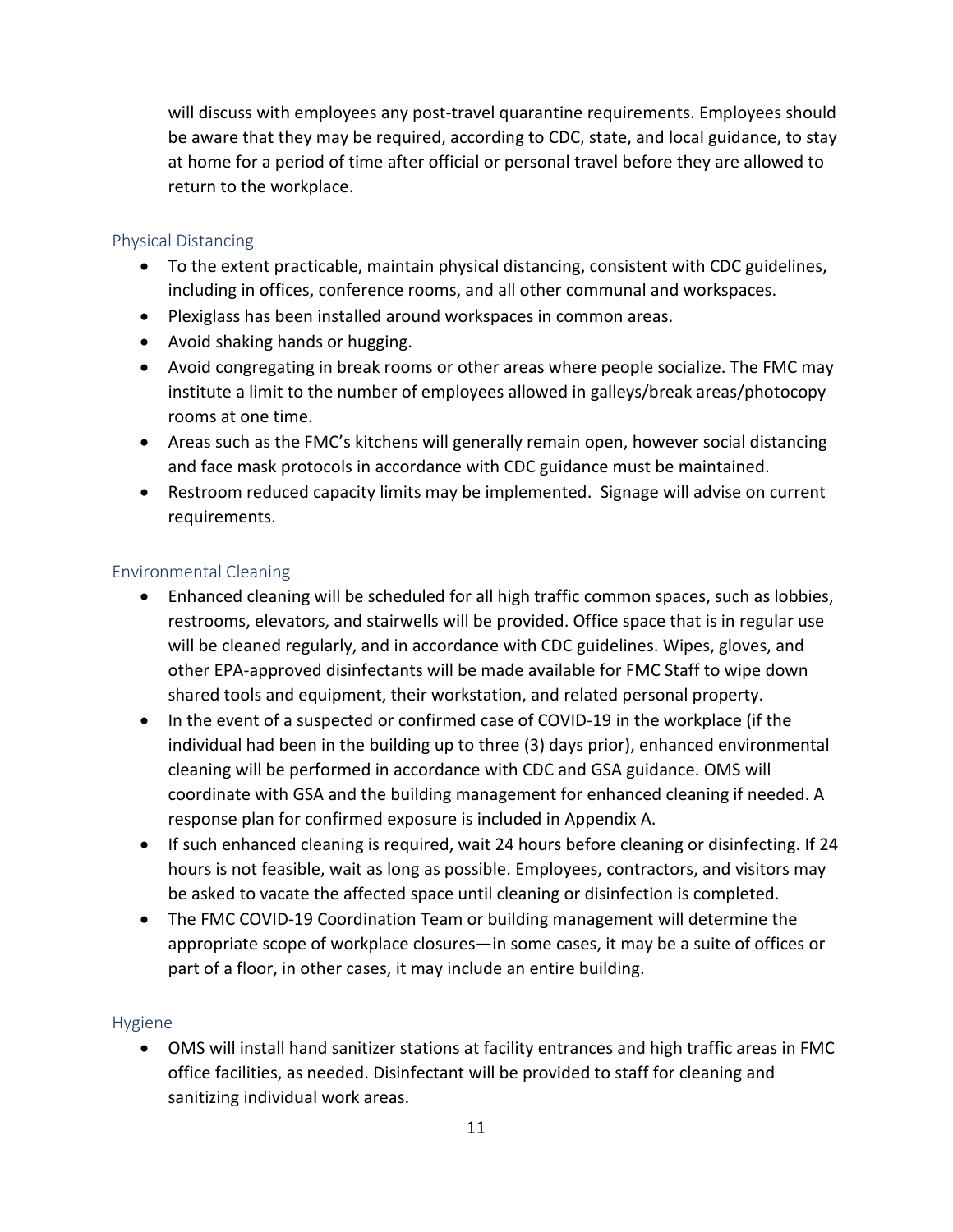will discuss with employees any post-travel quarantine requirements. Employees should be aware that they may be required, according to CDC, state, and local guidance, to stay at home for a period of time after official or personal travel before they are allowed to return to the workplace.

#### <span id="page-12-0"></span>Physical Distancing

- To the extent practicable, maintain physical distancing, consistent with CDC guidelines, including in offices, conference rooms, and all other communal and workspaces.
- Plexiglass has been installed around workspaces in common areas.
- Avoid shaking hands or hugging.
- Avoid congregating in break rooms or other areas where people socialize. The FMC may institute a limit to the number of employees allowed in galleys/break areas/photocopy rooms at one time.
- Areas such as the FMC's kitchens will generally remain open, however social distancing and face mask protocols in accordance with CDC guidance must be maintained.
- Restroom reduced capacity limits may be implemented. Signage will advise on current requirements.

#### <span id="page-12-1"></span>Environmental Cleaning

- Enhanced cleaning will be scheduled for all high traffic common spaces, such as lobbies, restrooms, elevators, and stairwells will be provided. Office space that is in regular use will be cleaned regularly, and in accordance with CDC guidelines. Wipes, gloves, and other EPA-approved disinfectants will be made available for FMC Staff to wipe down shared tools and equipment, their workstation, and related personal property.
- In the event of a suspected or confirmed case of COVID-19 in the workplace (if the individual had been in the building up to three (3) days prior), enhanced environmental cleaning will be performed in accordance with CDC and GSA guidance. OMS will coordinate with GSA and the building management for enhanced cleaning if needed. A response plan for confirmed exposure is included in Appendix A.
- If such enhanced cleaning is required, wait 24 hours before cleaning or disinfecting. If 24 hours is not feasible, wait as long as possible. Employees, contractors, and visitors may be asked to vacate the affected space until cleaning or disinfection is completed.
- The FMC COVID-19 Coordination Team or building management will determine the appropriate scope of workplace closures—in some cases, it may be a suite of offices or part of a floor, in other cases, it may include an entire building.

#### <span id="page-12-2"></span>Hygiene

• OMS will install hand sanitizer stations at facility entrances and high traffic areas in FMC office facilities, as needed. Disinfectant will be provided to staff for cleaning and sanitizing individual work areas.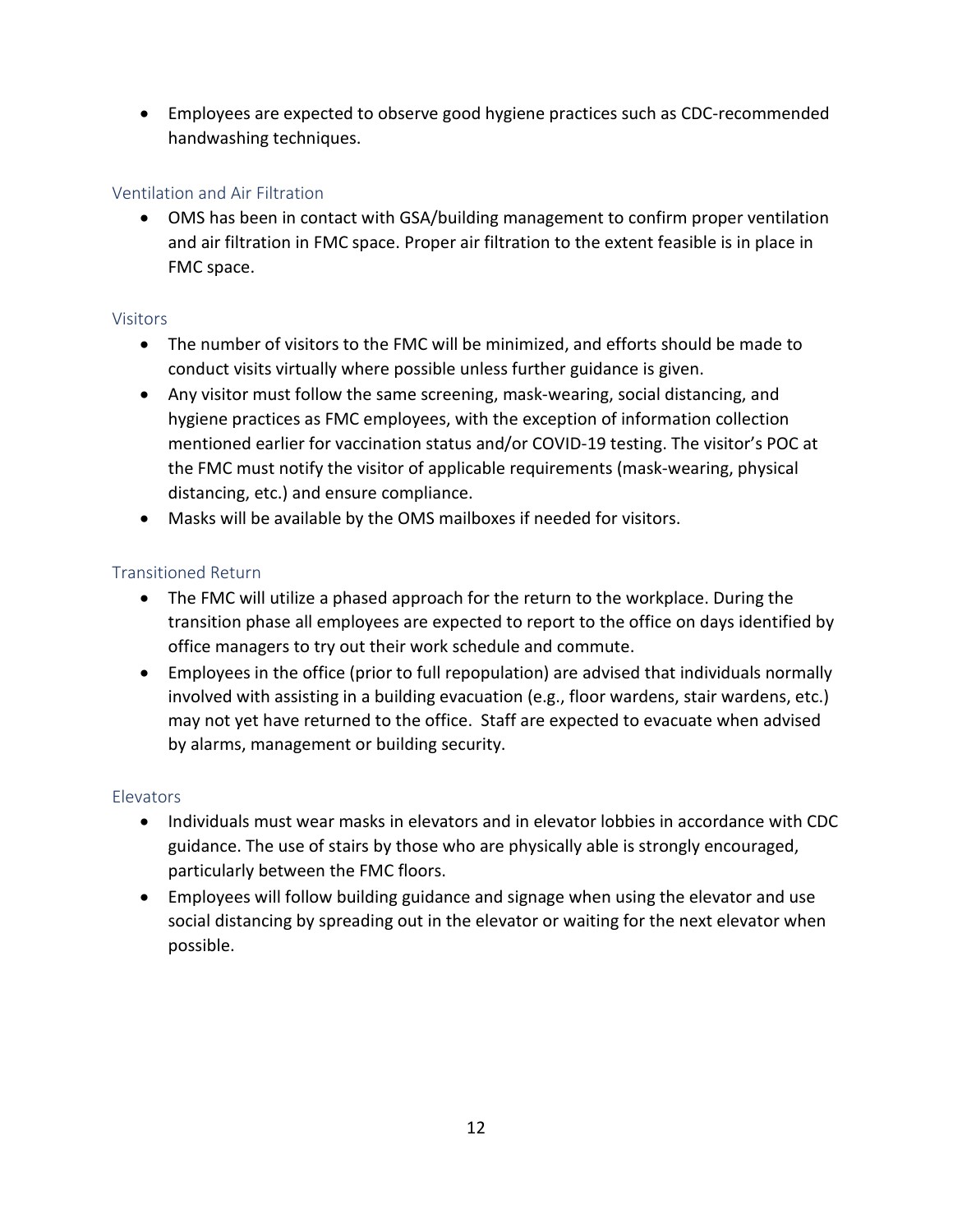• Employees are expected to observe good hygiene practices such as CDC-recommended handwashing techniques.

## <span id="page-13-0"></span>Ventilation and Air Filtration

• OMS has been in contact with GSA/building management to confirm proper ventilation and air filtration in FMC space. Proper air filtration to the extent feasible is in place in FMC space.

#### <span id="page-13-1"></span>Visitors

- The number of visitors to the FMC will be minimized, and efforts should be made to conduct visits virtually where possible unless further guidance is given.
- Any visitor must follow the same screening, mask-wearing, social distancing, and hygiene practices as FMC employees, with the exception of information collection mentioned earlier for vaccination status and/or COVID-19 testing. The visitor's POC at the FMC must notify the visitor of applicable requirements (mask-wearing, physical distancing, etc.) and ensure compliance.
- Masks will be available by the OMS mailboxes if needed for visitors.

#### <span id="page-13-2"></span>Transitioned Return

- The FMC will utilize a phased approach for the return to the workplace. During the transition phase all employees are expected to report to the office on days identified by office managers to try out their work schedule and commute.
- Employees in the office (prior to full repopulation) are advised that individuals normally involved with assisting in a building evacuation (e.g., floor wardens, stair wardens, etc.) may not yet have returned to the office. Staff are expected to evacuate when advised by alarms, management or building security.

#### <span id="page-13-3"></span>**Elevators**

- Individuals must wear masks in elevators and in elevator lobbies in accordance with CDC guidance. The use of stairs by those who are physically able is strongly encouraged, particularly between the FMC floors.
- Employees will follow building guidance and signage when using the elevator and use social distancing by spreading out in the elevator or waiting for the next elevator when possible.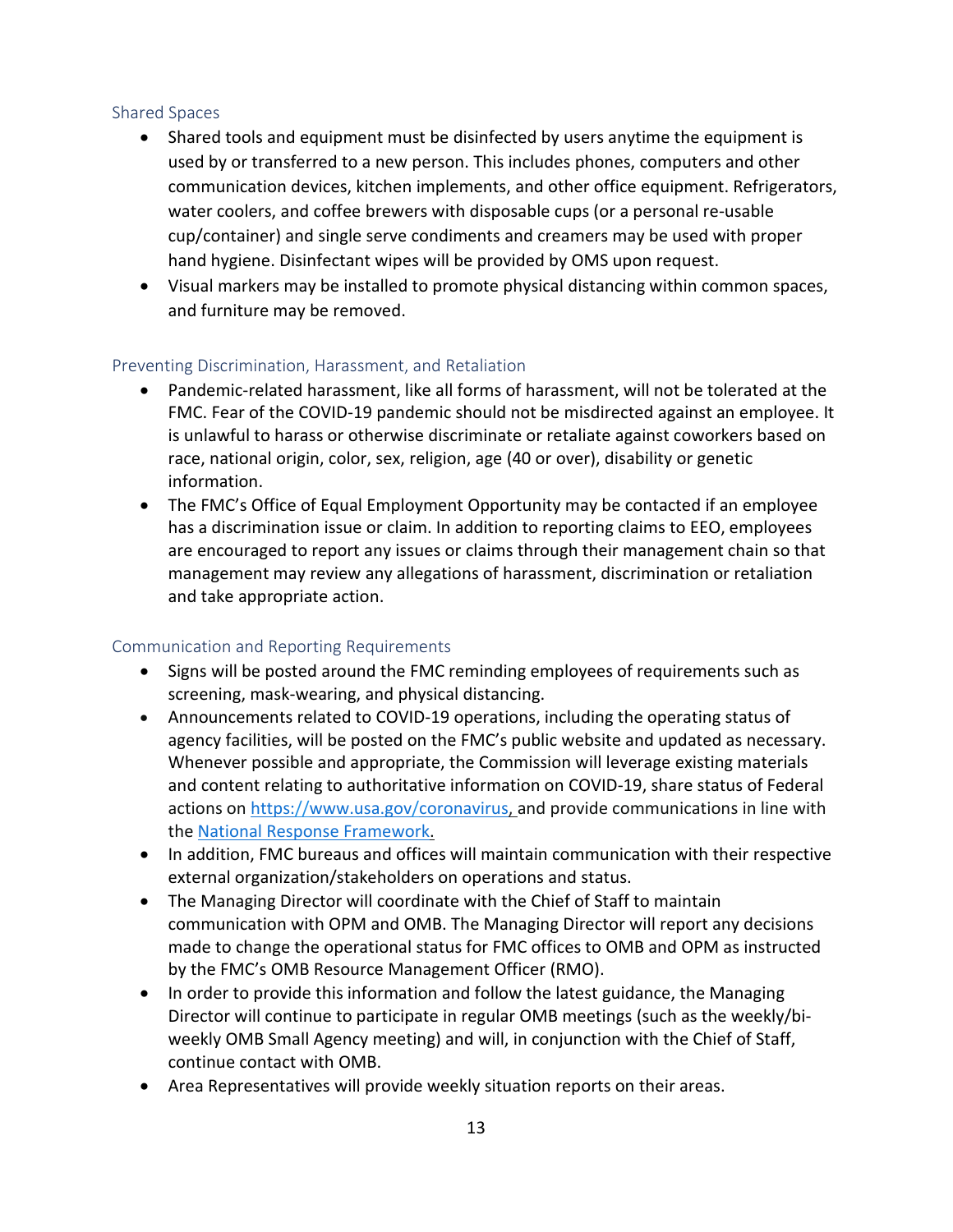#### <span id="page-14-0"></span>Shared Spaces

- Shared tools and equipment must be disinfected by users anytime the equipment is used by or transferred to a new person. This includes phones, computers and other communication devices, kitchen implements, and other office equipment. Refrigerators, water coolers, and coffee brewers with disposable cups (or a personal re-usable cup/container) and single serve condiments and creamers may be used with proper hand hygiene. Disinfectant wipes will be provided by OMS upon request.
- Visual markers may be installed to promote physical distancing within common spaces, and furniture may be removed.

#### <span id="page-14-1"></span>Preventing Discrimination, Harassment, and Retaliation

- Pandemic-related harassment, like all forms of harassment, will not be tolerated at the FMC. Fear of the COVID-19 pandemic should not be misdirected against an employee. It is unlawful to harass or otherwise discriminate or retaliate against coworkers based on race, national origin, color, sex, religion, age (40 or over), disability or genetic information.
- The FMC's Office of Equal Employment Opportunity may be contacted if an employee has a discrimination issue or claim. In addition to reporting claims to EEO, employees are encouraged to report any issues or claims through their management chain so that management may review any allegations of harassment, discrimination or retaliation and take appropriate action.

#### <span id="page-14-2"></span>Communication and Reporting Requirements

- Signs will be posted around the FMC reminding employees of requirements such as screening, mask-wearing, and physical distancing.
- Announcements related to COVID-19 operations, including the operating status of agency facilities, will be posted on the FMC's public website and updated as necessary. Whenever possible and appropriate, the Commission will leverage existing materials and content relating to authoritative information on COVID-19, share status of Federal actions on https://www.usa.gov/coronavirus, and provide communications in line with the National Response Framework.
- In addition, FMC bureaus and offices will maintain communication with their respective external organization/stakeholders on operations and status.
- The Managing Director will coordinate with the Chief of Staff to maintain communication with OPM and OMB. The Managing Director will report any decisions made to change the operational status for FMC offices to OMB and OPM as instructed by the FMC's OMB Resource Management Officer (RMO).
- In order to provide this information and follow the latest guidance, the Managing Director will continue to participate in regular OMB meetings (such as the weekly/biweekly OMB Small Agency meeting) and will, in conjunction with the Chief of Staff, continue contact with OMB.
- Area Representatives will provide weekly situation reports on their areas.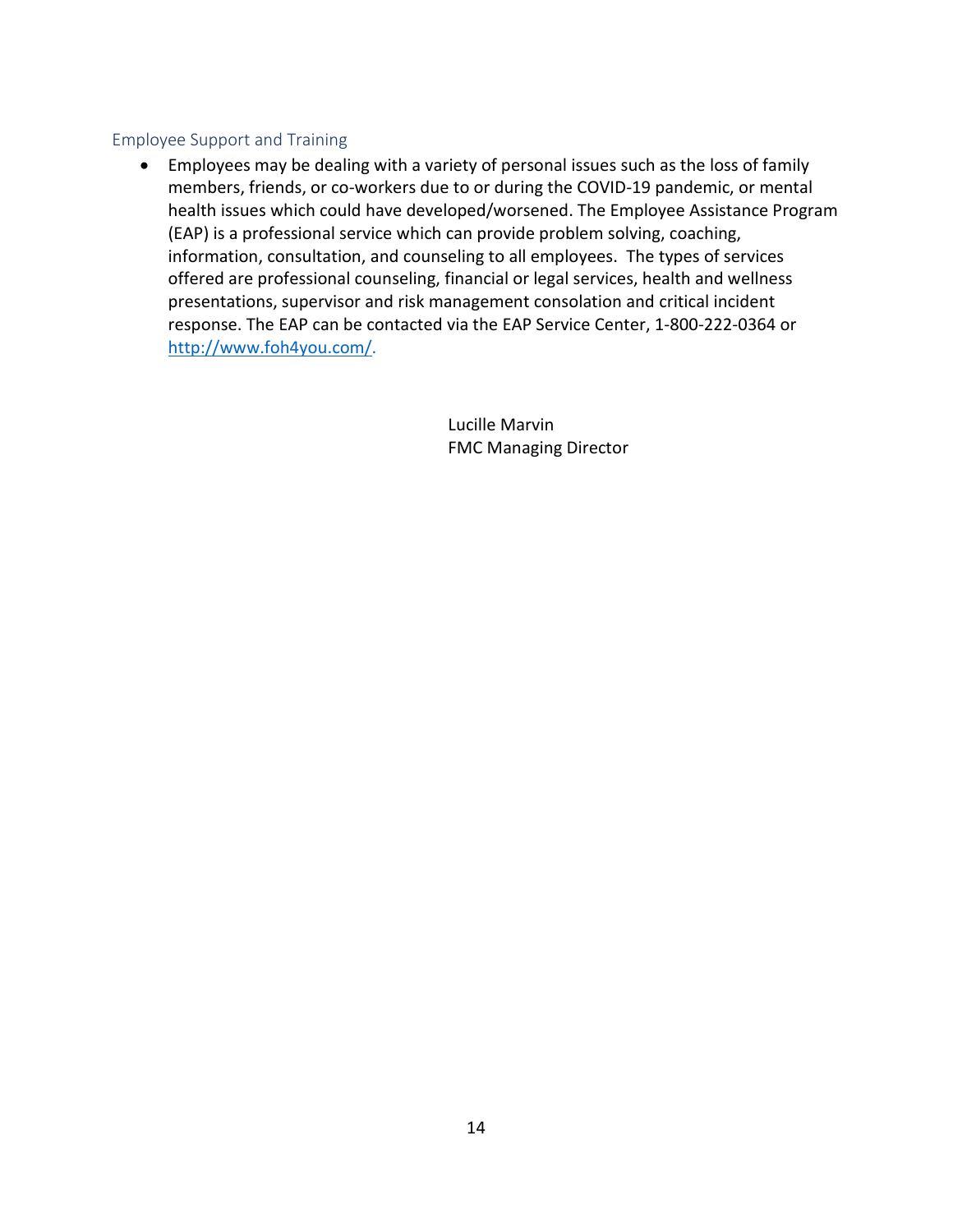#### <span id="page-15-0"></span>Employee Support and Training

• Employees may be dealing with a variety of personal issues such as the loss of family members, friends, or co-workers due to or during the COVID-19 pandemic, or mental health issues which could have developed/worsened. The Employee Assistance Program (EAP) is a professional service which can provide problem solving, coaching, information, consultation, and counseling to all employees. The types of services offered are professional counseling, financial or legal services, health and wellness presentations, supervisor and risk management consolation and critical incident response. The EAP can be contacted via the EAP Service Center, 1-800-222-0364 or [http://www.foh4you.com/.](http://www.foh4you.com/)

> Lucille Marvin FMC Managing Director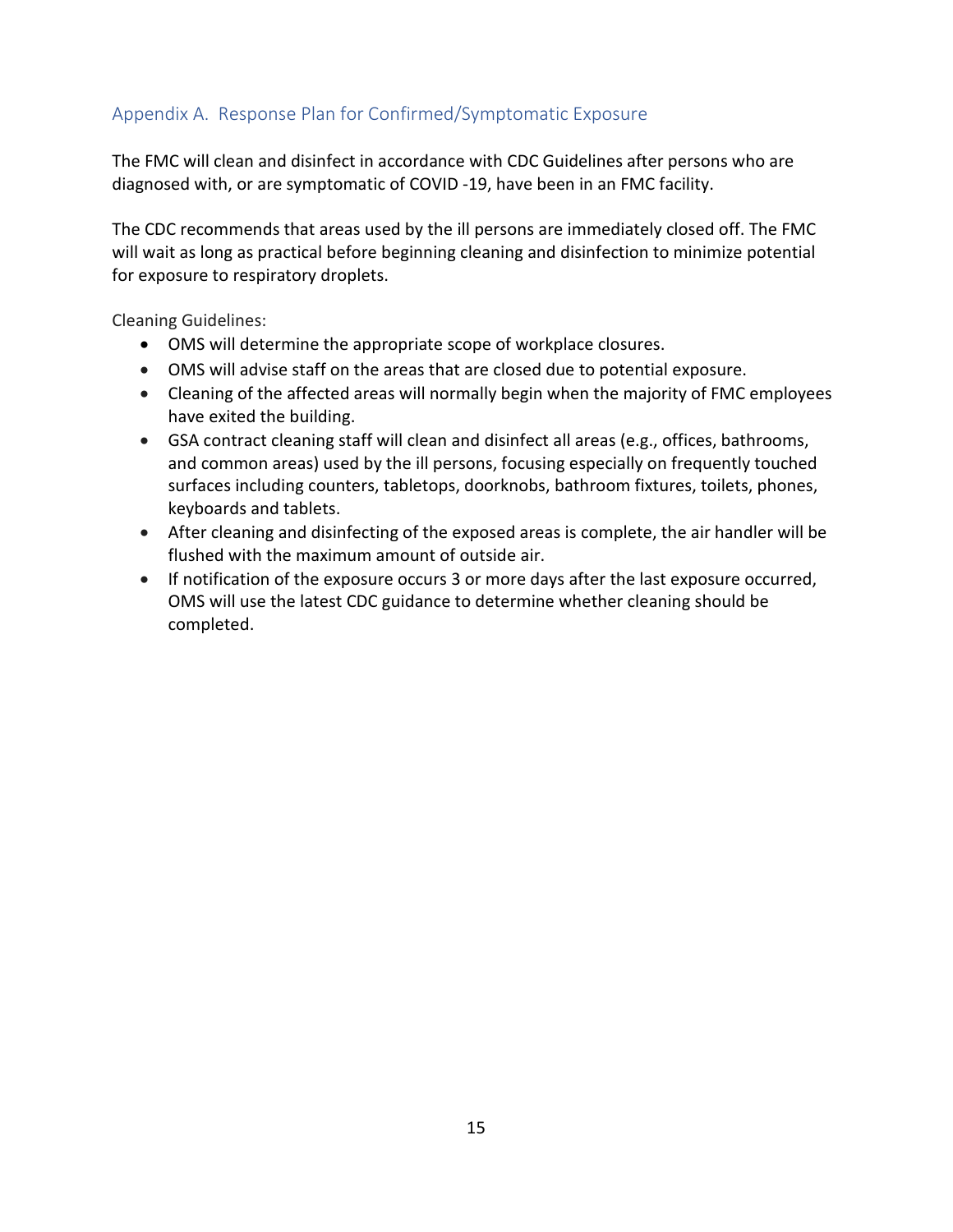## <span id="page-16-0"></span>Appendix A. Response Plan for Confirmed/Symptomatic Exposure

The FMC will clean and disinfect in accordance with CDC Guidelines after persons who are diagnosed with, or are symptomatic of COVID -19, have been in an FMC facility.

The CDC recommends that areas used by the ill persons are immediately closed off. The FMC will wait as long as practical before beginning cleaning and disinfection to minimize potential for exposure to respiratory droplets.

Cleaning Guidelines:

- OMS will determine the appropriate scope of workplace closures.
- OMS will advise staff on the areas that are closed due to potential exposure.
- Cleaning of the affected areas will normally begin when the majority of FMC employees have exited the building.
- GSA contract cleaning staff will clean and disinfect all areas (e.g., offices, bathrooms, and common areas) used by the ill persons, focusing especially on frequently touched surfaces including counters, tabletops, doorknobs, bathroom fixtures, toilets, phones, keyboards and tablets.
- After cleaning and disinfecting of the exposed areas is complete, the air handler will be flushed with the maximum amount of outside air.
- If notification of the exposure occurs 3 or more days after the last exposure occurred, OMS will use the latest CDC guidance to determine whether cleaning should be completed.